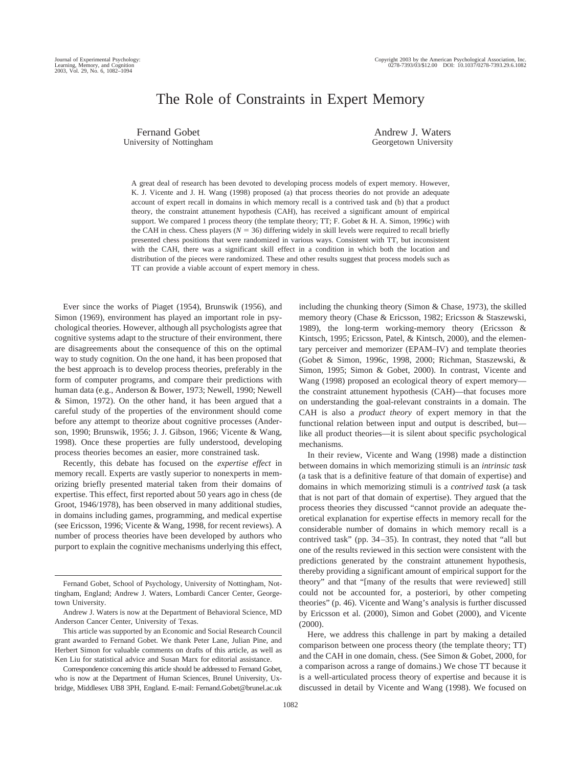# The Role of Constraints in Expert Memory

Fernand Gobet University of Nottingham

Andrew J. Waters Georgetown University

A great deal of research has been devoted to developing process models of expert memory. However, K. J. Vicente and J. H. Wang (1998) proposed (a) that process theories do not provide an adequate account of expert recall in domains in which memory recall is a contrived task and (b) that a product theory, the constraint attunement hypothesis (CAH), has received a significant amount of empirical support. We compared 1 process theory (the template theory; TT; F. Gobet & H. A. Simon, 1996c) with the CAH in chess. Chess players ( $N = 36$ ) differing widely in skill levels were required to recall briefly presented chess positions that were randomized in various ways. Consistent with TT, but inconsistent with the CAH, there was a significant skill effect in a condition in which both the location and distribution of the pieces were randomized. These and other results suggest that process models such as TT can provide a viable account of expert memory in chess.

Ever since the works of Piaget (1954), Brunswik (1956), and Simon (1969), environment has played an important role in psychological theories. However, although all psychologists agree that cognitive systems adapt to the structure of their environment, there are disagreements about the consequence of this on the optimal way to study cognition. On the one hand, it has been proposed that the best approach is to develop process theories, preferably in the form of computer programs, and compare their predictions with human data (e.g., Anderson & Bower, 1973; Newell, 1990; Newell & Simon, 1972). On the other hand, it has been argued that a careful study of the properties of the environment should come before any attempt to theorize about cognitive processes (Anderson, 1990; Brunswik, 1956; J. J. Gibson, 1966; Vicente & Wang, 1998). Once these properties are fully understood, developing process theories becomes an easier, more constrained task.

Recently, this debate has focused on the *expertise effect* in memory recall. Experts are vastly superior to nonexperts in memorizing briefly presented material taken from their domains of expertise. This effect, first reported about 50 years ago in chess (de Groot, 1946/1978), has been observed in many additional studies, in domains including games, programming, and medical expertise (see Ericsson, 1996; Vicente & Wang, 1998, for recent reviews). A number of process theories have been developed by authors who purport to explain the cognitive mechanisms underlying this effect,

Correspondence concerning this article should be addressed to Fernand Gobet, who is now at the Department of Human Sciences, Brunel University, Uxbridge, Middlesex UB8 3PH, England. E-mail: Fernand.Gobet@brunel.ac.uk

including the chunking theory (Simon & Chase, 1973), the skilled memory theory (Chase & Ericsson, 1982; Ericsson & Staszewski, 1989), the long-term working-memory theory (Ericsson & Kintsch, 1995; Ericsson, Patel, & Kintsch, 2000), and the elementary perceiver and memorizer (EPAM–IV) and template theories (Gobet & Simon, 1996c, 1998, 2000; Richman, Staszewski, & Simon, 1995; Simon & Gobet, 2000). In contrast, Vicente and Wang (1998) proposed an ecological theory of expert memory the constraint attunement hypothesis (CAH)—that focuses more on understanding the goal-relevant constraints in a domain. The CAH is also a *product theory* of expert memory in that the functional relation between input and output is described, but like all product theories—it is silent about specific psychological mechanisms.

In their review, Vicente and Wang (1998) made a distinction between domains in which memorizing stimuli is an *intrinsic task* (a task that is a definitive feature of that domain of expertise) and domains in which memorizing stimuli is a *contrived task* (a task that is not part of that domain of expertise). They argued that the process theories they discussed "cannot provide an adequate theoretical explanation for expertise effects in memory recall for the considerable number of domains in which memory recall is a contrived task" (pp. 34–35). In contrast, they noted that "all but one of the results reviewed in this section were consistent with the predictions generated by the constraint attunement hypothesis, thereby providing a significant amount of empirical support for the theory" and that "[many of the results that were reviewed] still could not be accounted for, a posteriori, by other competing theories" (p. 46). Vicente and Wang's analysis is further discussed by Ericsson et al. (2000), Simon and Gobet (2000), and Vicente (2000).

Here, we address this challenge in part by making a detailed comparison between one process theory (the template theory; TT) and the CAH in one domain, chess. (See Simon & Gobet, 2000, for a comparison across a range of domains.) We chose TT because it is a well-articulated process theory of expertise and because it is discussed in detail by Vicente and Wang (1998). We focused on

Fernand Gobet, School of Psychology, University of Nottingham, Nottingham, England; Andrew J. Waters, Lombardi Cancer Center, Georgetown University.

Andrew J. Waters is now at the Department of Behavioral Science, MD Anderson Cancer Center, University of Texas.

This article was supported by an Economic and Social Research Council grant awarded to Fernand Gobet. We thank Peter Lane, Julian Pine, and Herbert Simon for valuable comments on drafts of this article, as well as Ken Liu for statistical advice and Susan Marx for editorial assistance.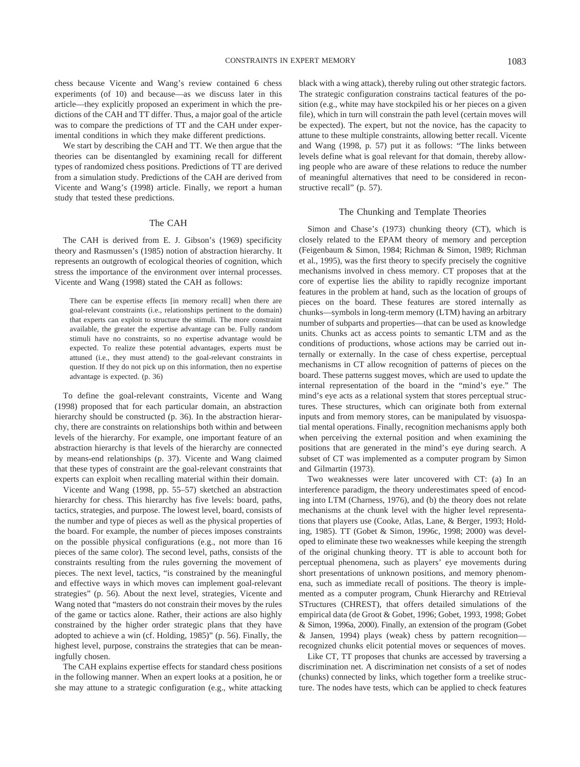chess because Vicente and Wang's review contained 6 chess experiments (of 10) and because—as we discuss later in this article—they explicitly proposed an experiment in which the predictions of the CAH and TT differ. Thus, a major goal of the article was to compare the predictions of TT and the CAH under experimental conditions in which they make different predictions.

We start by describing the CAH and TT. We then argue that the theories can be disentangled by examining recall for different types of randomized chess positions. Predictions of TT are derived from a simulation study. Predictions of the CAH are derived from Vicente and Wang's (1998) article. Finally, we report a human study that tested these predictions.

# The CAH

The CAH is derived from E. J. Gibson's (1969) specificity theory and Rasmussen's (1985) notion of abstraction hierarchy. It represents an outgrowth of ecological theories of cognition, which stress the importance of the environment over internal processes. Vicente and Wang (1998) stated the CAH as follows:

There can be expertise effects [in memory recall] when there are goal-relevant constraints (i.e., relationships pertinent to the domain) that experts can exploit to structure the stimuli. The more constraint available, the greater the expertise advantage can be. Fully random stimuli have no constraints, so no expertise advantage would be expected. To realize these potential advantages, experts must be attuned (i.e., they must attend) to the goal-relevant constraints in question. If they do not pick up on this information, then no expertise advantage is expected. (p. 36)

To define the goal-relevant constraints, Vicente and Wang (1998) proposed that for each particular domain, an abstraction hierarchy should be constructed (p. 36). In the abstraction hierarchy, there are constraints on relationships both within and between levels of the hierarchy. For example, one important feature of an abstraction hierarchy is that levels of the hierarchy are connected by means-end relationships (p. 37). Vicente and Wang claimed that these types of constraint are the goal-relevant constraints that experts can exploit when recalling material within their domain.

Vicente and Wang (1998, pp. 55–57) sketched an abstraction hierarchy for chess. This hierarchy has five levels: board, paths, tactics, strategies, and purpose. The lowest level, board, consists of the number and type of pieces as well as the physical properties of the board. For example, the number of pieces imposes constraints on the possible physical configurations (e.g., not more than 16 pieces of the same color). The second level, paths, consists of the constraints resulting from the rules governing the movement of pieces. The next level, tactics, "is constrained by the meaningful and effective ways in which moves can implement goal-relevant strategies" (p. 56). About the next level, strategies, Vicente and Wang noted that "masters do not constrain their moves by the rules of the game or tactics alone. Rather, their actions are also highly constrained by the higher order strategic plans that they have adopted to achieve a win (cf. Holding, 1985)" (p. 56). Finally, the highest level, purpose, constrains the strategies that can be meaningfully chosen.

The CAH explains expertise effects for standard chess positions in the following manner. When an expert looks at a position, he or she may attune to a strategic configuration (e.g., white attacking black with a wing attack), thereby ruling out other strategic factors. The strategic configuration constrains tactical features of the position (e.g., white may have stockpiled his or her pieces on a given file), which in turn will constrain the path level (certain moves will be expected). The expert, but not the novice, has the capacity to attune to these multiple constraints, allowing better recall. Vicente and Wang (1998, p. 57) put it as follows: "The links between levels define what is goal relevant for that domain, thereby allowing people who are aware of these relations to reduce the number of meaningful alternatives that need to be considered in reconstructive recall" (p. 57).

## The Chunking and Template Theories

Simon and Chase's (1973) chunking theory (CT), which is closely related to the EPAM theory of memory and perception (Feigenbaum & Simon, 1984; Richman & Simon, 1989; Richman et al., 1995), was the first theory to specify precisely the cognitive mechanisms involved in chess memory. CT proposes that at the core of expertise lies the ability to rapidly recognize important features in the problem at hand, such as the location of groups of pieces on the board. These features are stored internally as chunks—symbols in long-term memory (LTM) having an arbitrary number of subparts and properties—that can be used as knowledge units. Chunks act as access points to semantic LTM and as the conditions of productions, whose actions may be carried out internally or externally. In the case of chess expertise, perceptual mechanisms in CT allow recognition of patterns of pieces on the board. These patterns suggest moves, which are used to update the internal representation of the board in the "mind's eye." The mind's eye acts as a relational system that stores perceptual structures. These structures, which can originate both from external inputs and from memory stores, can be manipulated by visuospatial mental operations. Finally, recognition mechanisms apply both when perceiving the external position and when examining the positions that are generated in the mind's eye during search. A subset of CT was implemented as a computer program by Simon and Gilmartin (1973).

Two weaknesses were later uncovered with CT: (a) In an interference paradigm, the theory underestimates speed of encoding into LTM (Charness, 1976), and (b) the theory does not relate mechanisms at the chunk level with the higher level representations that players use (Cooke, Atlas, Lane, & Berger, 1993; Holding, 1985). TT (Gobet & Simon, 1996c, 1998; 2000) was developed to eliminate these two weaknesses while keeping the strength of the original chunking theory. TT is able to account both for perceptual phenomena, such as players' eye movements during short presentations of unknown positions, and memory phenomena, such as immediate recall of positions. The theory is implemented as a computer program, Chunk Hierarchy and REtrieval STructures (CHREST), that offers detailed simulations of the empirical data (de Groot & Gobet, 1996; Gobet, 1993, 1998; Gobet & Simon, 1996a, 2000). Finally, an extension of the program (Gobet & Jansen, 1994) plays (weak) chess by pattern recognition recognized chunks elicit potential moves or sequences of moves.

Like CT, TT proposes that chunks are accessed by traversing a discrimination net. A discrimination net consists of a set of nodes (chunks) connected by links, which together form a treelike structure. The nodes have tests, which can be applied to check features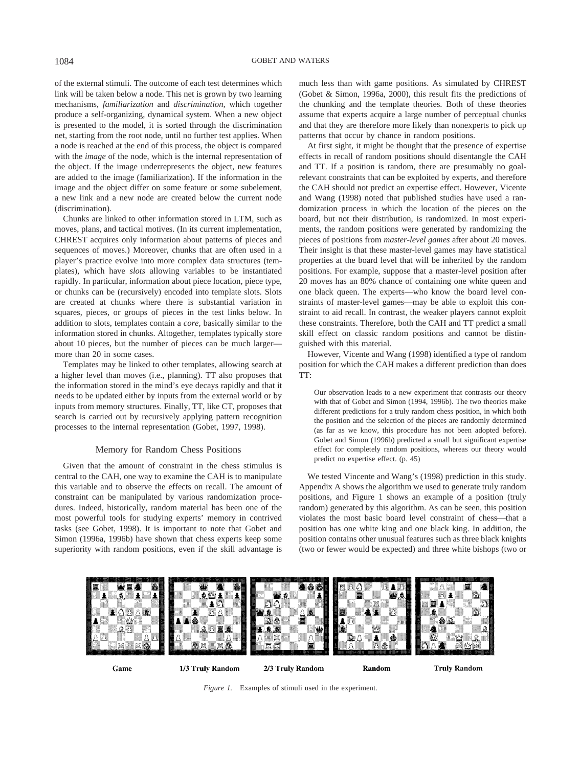of the external stimuli. The outcome of each test determines which link will be taken below a node. This net is grown by two learning mechanisms, *familiarization* and *discrimination,* which together produce a self-organizing, dynamical system. When a new object is presented to the model, it is sorted through the discrimination net, starting from the root node, until no further test applies. When a node is reached at the end of this process, the object is compared with the *image* of the node, which is the internal representation of the object. If the image underrepresents the object, new features are added to the image (familiarization). If the information in the image and the object differ on some feature or some subelement, a new link and a new node are created below the current node (discrimination).

Chunks are linked to other information stored in LTM, such as moves, plans, and tactical motives. (In its current implementation, CHREST acquires only information about patterns of pieces and sequences of moves.) Moreover, chunks that are often used in a player's practice evolve into more complex data structures (templates), which have *slots* allowing variables to be instantiated rapidly. In particular, information about piece location, piece type, or chunks can be (recursively) encoded into template slots. Slots are created at chunks where there is substantial variation in squares, pieces, or groups of pieces in the test links below. In addition to slots, templates contain a *core,* basically similar to the information stored in chunks. Altogether, templates typically store about 10 pieces, but the number of pieces can be much larger more than 20 in some cases.

Templates may be linked to other templates, allowing search at a higher level than moves (i.e., planning). TT also proposes that the information stored in the mind's eye decays rapidly and that it needs to be updated either by inputs from the external world or by inputs from memory structures. Finally, TT, like CT, proposes that search is carried out by recursively applying pattern recognition processes to the internal representation (Gobet, 1997, 1998).

## Memory for Random Chess Positions

Given that the amount of constraint in the chess stimulus is central to the CAH, one way to examine the CAH is to manipulate this variable and to observe the effects on recall. The amount of constraint can be manipulated by various randomization procedures. Indeed, historically, random material has been one of the most powerful tools for studying experts' memory in contrived tasks (see Gobet, 1998). It is important to note that Gobet and Simon (1996a, 1996b) have shown that chess experts keep some superiority with random positions, even if the skill advantage is

much less than with game positions. As simulated by CHREST (Gobet & Simon, 1996a, 2000), this result fits the predictions of the chunking and the template theories. Both of these theories assume that experts acquire a large number of perceptual chunks and that they are therefore more likely than nonexperts to pick up patterns that occur by chance in random positions.

At first sight, it might be thought that the presence of expertise effects in recall of random positions should disentangle the CAH and TT. If a position is random, there are presumably no goalrelevant constraints that can be exploited by experts, and therefore the CAH should not predict an expertise effect. However, Vicente and Wang (1998) noted that published studies have used a randomization process in which the location of the pieces on the board, but not their distribution, is randomized. In most experiments, the random positions were generated by randomizing the pieces of positions from *master-level games* after about 20 moves. Their insight is that these master-level games may have statistical properties at the board level that will be inherited by the random positions. For example, suppose that a master-level position after 20 moves has an 80% chance of containing one white queen and one black queen. The experts—who know the board level constraints of master-level games—may be able to exploit this constraint to aid recall. In contrast, the weaker players cannot exploit these constraints. Therefore, both the CAH and TT predict a small skill effect on classic random positions and cannot be distinguished with this material.

However, Vicente and Wang (1998) identified a type of random position for which the CAH makes a different prediction than does TT:

Our observation leads to a new experiment that contrasts our theory with that of Gobet and Simon (1994, 1996b). The two theories make different predictions for a truly random chess position, in which both the position and the selection of the pieces are randomly determined (as far as we know, this procedure has not been adopted before). Gobet and Simon (1996b) predicted a small but significant expertise effect for completely random positions, whereas our theory would predict no expertise effect. (p. 45)

We tested Vincente and Wang's (1998) prediction in this study. Appendix A shows the algorithm we used to generate truly random positions, and Figure 1 shows an example of a position (truly random) generated by this algorithm. As can be seen, this position violates the most basic board level constraint of chess—that a position has one white king and one black king. In addition, the position contains other unusual features such as three black knights (two or fewer would be expected) and three white bishops (two or



*Figure 1.* Examples of stimuli used in the experiment.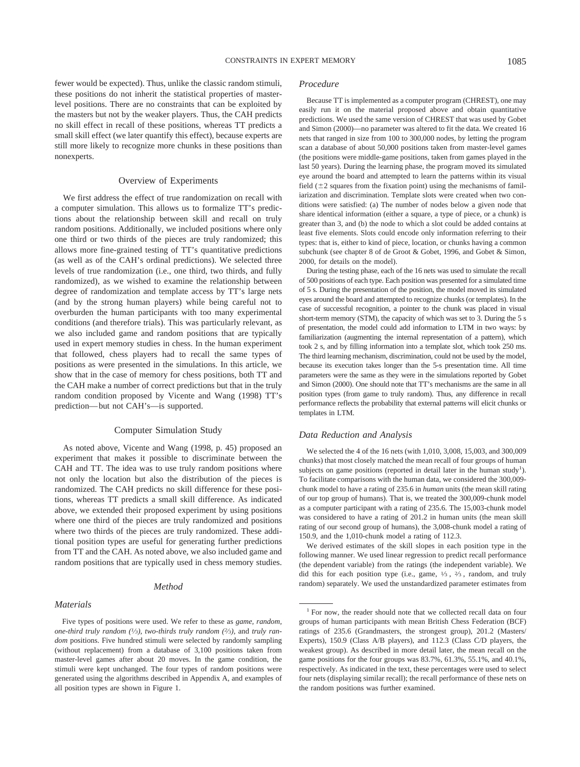fewer would be expected). Thus, unlike the classic random stimuli, these positions do not inherit the statistical properties of masterlevel positions. There are no constraints that can be exploited by the masters but not by the weaker players. Thus, the CAH predicts no skill effect in recall of these positions, whereas TT predicts a small skill effect (we later quantify this effect), because experts are still more likely to recognize more chunks in these positions than nonexperts.

## Overview of Experiments

We first address the effect of true randomization on recall with a computer simulation. This allows us to formalize TT's predictions about the relationship between skill and recall on truly random positions. Additionally, we included positions where only one third or two thirds of the pieces are truly randomized; this allows more fine-grained testing of TT's quantitative predictions (as well as of the CAH's ordinal predictions). We selected three levels of true randomization (i.e., one third, two thirds, and fully randomized), as we wished to examine the relationship between degree of randomization and template access by TT's large nets (and by the strong human players) while being careful not to overburden the human participants with too many experimental conditions (and therefore trials). This was particularly relevant, as we also included game and random positions that are typically used in expert memory studies in chess. In the human experiment that followed, chess players had to recall the same types of positions as were presented in the simulations. In this article, we show that in the case of memory for chess positions, both TT and the CAH make a number of correct predictions but that in the truly random condition proposed by Vicente and Wang (1998) TT's prediction—but not CAH's—is supported.

#### Computer Simulation Study

As noted above, Vicente and Wang (1998, p. 45) proposed an experiment that makes it possible to discriminate between the CAH and TT. The idea was to use truly random positions where not only the location but also the distribution of the pieces is randomized. The CAH predicts no skill difference for these positions, whereas TT predicts a small skill difference. As indicated above, we extended their proposed experiment by using positions where one third of the pieces are truly randomized and positions where two thirds of the pieces are truly randomized. These additional position types are useful for generating further predictions from TT and the CAH. As noted above, we also included game and random positions that are typically used in chess memory studies.

# *Method*

## *Materials*

Five types of positions were used. We refer to these as *game, random, one-third truly random (1⁄3), two-thirds truly random (2⁄3),* and *truly random* positions. Five hundred stimuli were selected by randomly sampling (without replacement) from a database of 3,100 positions taken from master-level games after about 20 moves. In the game condition, the stimuli were kept unchanged. The four types of random positions were generated using the algorithms described in Appendix A, and examples of all position types are shown in Figure 1.

## *Procedure*

Because TT is implemented as a computer program (CHREST), one may easily run it on the material proposed above and obtain quantitative predictions. We used the same version of CHREST that was used by Gobet and Simon (2000)—no parameter was altered to fit the data. We created 16 nets that ranged in size from 100 to 300,000 nodes, by letting the program scan a database of about 50,000 positions taken from master-level games (the positions were middle-game positions, taken from games played in the last 50 years). During the learning phase, the program moved its simulated eye around the board and attempted to learn the patterns within its visual field  $(\pm 2)$  squares from the fixation point) using the mechanisms of familiarization and discrimination. Template slots were created when two conditions were satisfied: (a) The number of nodes below a given node that share identical information (either a square, a type of piece, or a chunk) is greater than 3, and (b) the node to which a slot could be added contains at least five elements. Slots could encode only information referring to their types: that is, either to kind of piece, location, or chunks having a common subchunk (see chapter 8 of de Groot & Gobet, 1996, and Gobet & Simon, 2000, for details on the model).

During the testing phase, each of the 16 nets was used to simulate the recall of 500 positions of each type. Each position was presented for a simulated time of 5 s. During the presentation of the position, the model moved its simulated eyes around the board and attempted to recognize chunks (or templates). In the case of successful recognition, a pointer to the chunk was placed in visual short-term memory (STM), the capacity of which was set to 3. During the 5 s of presentation, the model could add information to LTM in two ways: by familiarization (augmenting the internal representation of a pattern), which took 2 s, and by filling information into a template slot, which took 250 ms. The third learning mechanism, discrimination, could not be used by the model, because its execution takes longer than the 5-s presentation time. All time parameters were the same as they were in the simulations reported by Gobet and Simon (2000). One should note that TT's mechanisms are the same in all position types (from game to truly random). Thus, any difference in recall performance reflects the probability that external patterns will elicit chunks or templates in LTM.

## *Data Reduction and Analysis*

We selected the 4 of the 16 nets (with 1,010, 3,008, 15,003, and 300,009 chunks) that most closely matched the mean recall of four groups of human subjects on game positions (reported in detail later in the human study<sup>1</sup>). To facilitate comparisons with the human data, we considered the 300,009 chunk model to have a rating of 235.6 in *human* units (the mean skill rating of our top group of humans). That is, we treated the 300,009-chunk model as a computer participant with a rating of 235.6. The 15,003-chunk model was considered to have a rating of 201.2 in human units (the mean skill rating of our second group of humans), the 3,008-chunk model a rating of 150.9, and the 1,010-chunk model a rating of 112.3.

We derived estimates of the skill slopes in each position type in the following manner. We used linear regression to predict recall performance (the dependent variable) from the ratings (the independent variable). We did this for each position type (i.e., game, 1⁄3 , 2⁄3 , random, and truly random) separately. We used the unstandardized parameter estimates from

<sup>&</sup>lt;sup>1</sup> For now, the reader should note that we collected recall data on four groups of human participants with mean British Chess Federation (BCF) ratings of 235.6 (Grandmasters, the strongest group), 201.2 (Masters/ Experts), 150.9 (Class A/B players), and 112.3 (Class C/D players, the weakest group). As described in more detail later, the mean recall on the game positions for the four groups was 83.7%, 61.3%, 55.1%, and 40.1%, respectively. As indicated in the text, these percentages were used to select four nets (displaying similar recall); the recall performance of these nets on the random positions was further examined.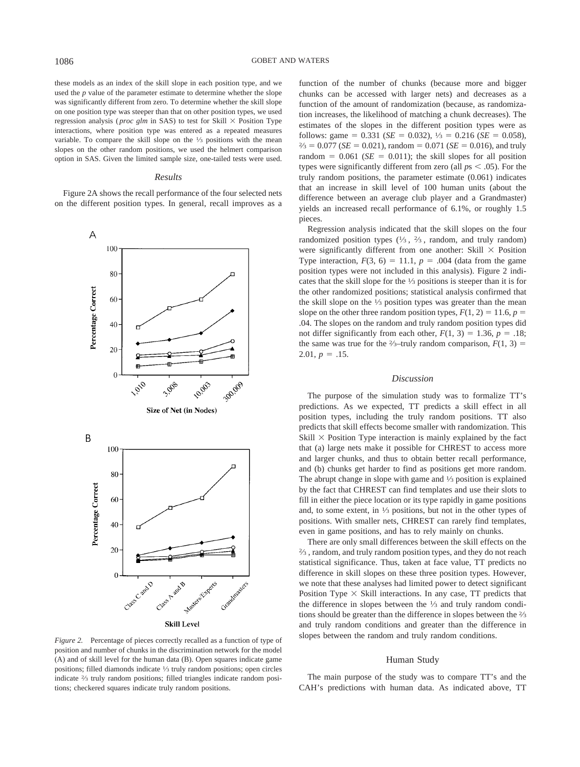these models as an index of the skill slope in each position type, and we used the *p* value of the parameter estimate to determine whether the slope was significantly different from zero. To determine whether the skill slope on one position type was steeper than that on other position types, we used regression analysis (*proc glm* in SAS) to test for Skill  $\times$  Position Type interactions, where position type was entered as a repeated measures variable. To compare the skill slope on the  $\frac{1}{3}$  positions with the mean slopes on the other random positions, we used the helmert comparison option in SAS. Given the limited sample size, one-tailed tests were used.

#### *Results*

Figure 2A shows the recall performance of the four selected nets on the different position types. In general, recall improves as a



*Figure 2.* Percentage of pieces correctly recalled as a function of type of position and number of chunks in the discrimination network for the model (A) and of skill level for the human data (B). Open squares indicate game positions; filled diamonds indicate 1⁄3 truly random positions; open circles indicate 2⁄3 truly random positions; filled triangles indicate random positions; checkered squares indicate truly random positions.

function of the number of chunks (because more and bigger chunks can be accessed with larger nets) and decreases as a function of the amount of randomization (because, as randomization increases, the likelihood of matching a chunk decreases). The estimates of the slopes in the different position types were as follows: game =  $0.331$  (*SE* = 0.032),  $\frac{1}{3}$  = 0.216 (*SE* = 0.058),  $\frac{2}{3} = 0.077$  (*SE* = 0.021), random = 0.071 (*SE* = 0.016), and truly random  $= 0.061$  (*SE*  $= 0.011$ ); the skill slopes for all position types were significantly different from zero (all  $ps < .05$ ). For the truly random positions, the parameter estimate (0.061) indicates that an increase in skill level of 100 human units (about the difference between an average club player and a Grandmaster) yields an increased recall performance of 6.1%, or roughly 1.5 pieces.

Regression analysis indicated that the skill slopes on the four randomized position types  $(1/3, 2/3, \text{random}, \text{and truly random})$ were significantly different from one another: Skill  $\times$  Position Type interaction,  $F(3, 6) = 11.1$ ,  $p = .004$  (data from the game position types were not included in this analysis). Figure 2 indicates that the skill slope for the 1⁄3 positions is steeper than it is for the other randomized positions; statistical analysis confirmed that the skill slope on the  $\frac{1}{3}$  position types was greater than the mean slope on the other three random position types,  $F(1, 2) = 11.6$ ,  $p =$ .04. The slopes on the random and truly random position types did not differ significantly from each other,  $F(1, 3) = 1.36$ ,  $p = .18$ ; the same was true for the  $\frac{2}{3}$ -truly random comparison,  $F(1, 3)$  = 2.01,  $p = .15$ .

#### *Discussion*

The purpose of the simulation study was to formalize TT's predictions. As we expected, TT predicts a skill effect in all position types, including the truly random positions. TT also predicts that skill effects become smaller with randomization. This Skill  $\times$  Position Type interaction is mainly explained by the fact that (a) large nets make it possible for CHREST to access more and larger chunks, and thus to obtain better recall performance, and (b) chunks get harder to find as positions get more random. The abrupt change in slope with game and 1⁄3 position is explained by the fact that CHREST can find templates and use their slots to fill in either the piece location or its type rapidly in game positions and, to some extent, in  $\frac{1}{3}$  positions, but not in the other types of positions. With smaller nets, CHREST can rarely find templates, even in game positions, and has to rely mainly on chunks.

There are only small differences between the skill effects on the 2⁄3 , random, and truly random position types, and they do not reach statistical significance. Thus, taken at face value, TT predicts no difference in skill slopes on these three position types. However, we note that these analyses had limited power to detect significant Position Type  $\times$  Skill interactions. In any case, TT predicts that the difference in slopes between the 1⁄3 and truly random conditions should be greater than the difference in slopes between the 2⁄3 and truly random conditions and greater than the difference in slopes between the random and truly random conditions.

## Human Study

The main purpose of the study was to compare TT's and the CAH's predictions with human data. As indicated above, TT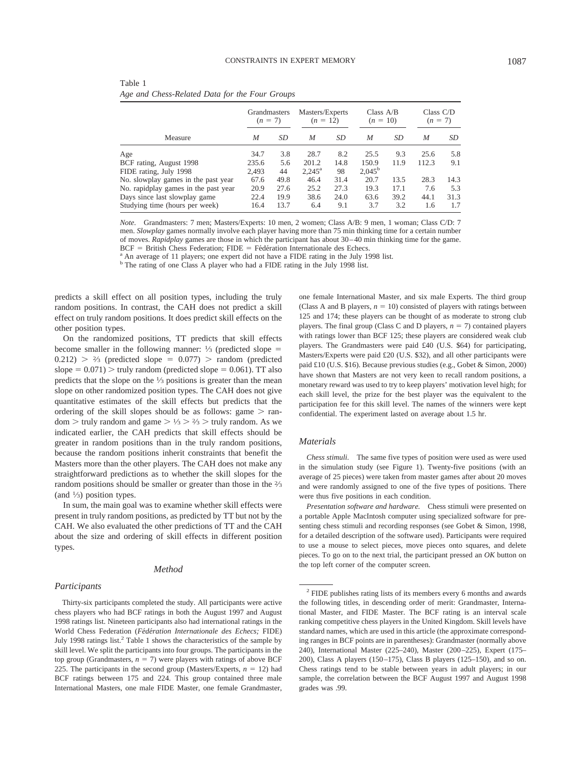| Table 1 |                                                |  |  |
|---------|------------------------------------------------|--|--|
|         | Age and Chess-Related Data for the Four Groups |  |  |

|                                      | <b>Grandmasters</b><br>$(n = 7)$ |      | Masters/Experts<br>$(n = 12)$ |      | Class $A/B$<br>$(n = 10)$ |      | Class C/D<br>$(n = 7)$ |      |
|--------------------------------------|----------------------------------|------|-------------------------------|------|---------------------------|------|------------------------|------|
| Measure                              | M                                | SD   | M                             | SD   | M                         | SD   | M                      | SD   |
| Age                                  | 34.7                             | 3.8  | 28.7                          | 8.2  | 25.5                      | 9.3  | 25.6                   | 5.8  |
| BCF rating, August 1998              | 235.6                            | 5.6  | 201.2                         | 14.8 | 150.9                     | 11.9 | 112.3                  | 9.1  |
| FIDE rating, July 1998               | 2.493                            | 44   | $2.245^{\rm a}$               | 98   | $2,045^{\rm b}$           |      |                        |      |
| No. slowplay games in the past year  | 67.6                             | 49.8 | 46.4                          | 31.4 | 20.7                      | 13.5 | 28.3                   | 14.3 |
| No. rapidplay games in the past year | 20.9                             | 27.6 | 25.2                          | 27.3 | 19.3                      | 17.1 | 7.6                    | 5.3  |
| Days since last slowplay game        | 22.4                             | 19.9 | 38.6                          | 24.0 | 63.6                      | 39.2 | 44.1                   | 31.3 |
| Studying time (hours per week)       | 16.4                             | 13.7 | 6.4                           | 9.1  | 3.7                       | 3.2  | 1.6                    | 1.7  |

*Note.* Grandmasters: 7 men; Masters/Experts: 10 men, 2 women; Class A/B: 9 men, 1 woman; Class C/D: 7 men. *Slowplay* games normally involve each player having more than 75 min thinking time for a certain number of moves. *Rapidplay* games are those in which the participant has about 30–40 min thinking time for the game.

An average of 11 players; one expert did not have a FIDE rating in the July 1998 list.

<sup>b</sup> The rating of one Class A player who had a FIDE rating in the July 1998 list.

predicts a skill effect on all position types, including the truly random positions. In contrast, the CAH does not predict a skill effect on truly random positions. It does predict skill effects on the other position types.

On the randomized positions, TT predicts that skill effects become smaller in the following manner:  $\frac{1}{3}$  (predicted slope =  $0.212$ )  $> 2/3$  (predicted slope = 0.077)  $>$  random (predicted slope  $= 0.071$ )  $>$  truly random (predicted slope  $= 0.061$ ). TT also predicts that the slope on the  $\frac{1}{3}$  positions is greater than the mean slope on other randomized position types. The CAH does not give quantitative estimates of the skill effects but predicts that the ordering of the skill slopes should be as follows: game  $>$  ran $dom >$  truly random and game  $> 1/3 > 2/3 >$  truly random. As we indicated earlier, the CAH predicts that skill effects should be greater in random positions than in the truly random positions, because the random positions inherit constraints that benefit the Masters more than the other players. The CAH does not make any straightforward predictions as to whether the skill slopes for the random positions should be smaller or greater than those in the 2⁄3 (and  $\frac{1}{3}$ ) position types.

In sum, the main goal was to examine whether skill effects were present in truly random positions, as predicted by TT but not by the CAH. We also evaluated the other predictions of TT and the CAH about the size and ordering of skill effects in different position types.

## *Method*

## *Participants*

Thirty-six participants completed the study. All participants were active chess players who had BCF ratings in both the August 1997 and August 1998 ratings list. Nineteen participants also had international ratings in the World Chess Federation (*Fe´de´ration Internationale des Echecs;* FIDE) July 1998 ratings list.2 Table 1 shows the characteristics of the sample by skill level. We split the participants into four groups. The participants in the top group (Grandmasters,  $n = 7$ ) were players with ratings of above BCF 225. The participants in the second group (Masters/Experts,  $n = 12$ ) had BCF ratings between 175 and 224. This group contained three male International Masters, one male FIDE Master, one female Grandmaster,

one female International Master, and six male Experts. The third group (Class A and B players,  $n = 10$ ) consisted of players with ratings between 125 and 174; these players can be thought of as moderate to strong club players. The final group (Class C and D players,  $n = 7$ ) contained players with ratings lower than BCF 125; these players are considered weak club players. The Grandmasters were paid £40 (U.S. \$64) for participating, Masters/Experts were paid £20 (U.S. \$32), and all other participants were paid £10 (U.S. \$16). Because previous studies (e.g., Gobet & Simon, 2000) have shown that Masters are not very keen to recall random positions, a monetary reward was used to try to keep players' motivation level high; for each skill level, the prize for the best player was the equivalent to the participation fee for this skill level. The names of the winners were kept confidential. The experiment lasted on average about 1.5 hr.

## *Materials*

*Chess stimuli.* The same five types of position were used as were used in the simulation study (see Figure 1). Twenty-five positions (with an average of 25 pieces) were taken from master games after about 20 moves and were randomly assigned to one of the five types of positions. There were thus five positions in each condition.

*Presentation software and hardware.* Chess stimuli were presented on a portable Apple MacIntosh computer using specialized software for presenting chess stimuli and recording responses (see Gobet & Simon, 1998, for a detailed description of the software used). Participants were required to use a mouse to select pieces, move pieces onto squares, and delete pieces. To go on to the next trial, the participant pressed an *OK* button on the top left corner of the computer screen.

<sup>2</sup> FIDE publishes rating lists of its members every 6 months and awards the following titles, in descending order of merit: Grandmaster, International Master, and FIDE Master. The BCF rating is an interval scale ranking competitive chess players in the United Kingdom. Skill levels have standard names, which are used in this article (the approximate corresponding ranges in BCF points are in parentheses): Grandmaster (normally above 240), International Master (225–240), Master (200–225), Expert (175– 200), Class A players (150–175), Class B players (125–150), and so on. Chess ratings tend to be stable between years in adult players; in our sample, the correlation between the BCF August 1997 and August 1998 grades was .99.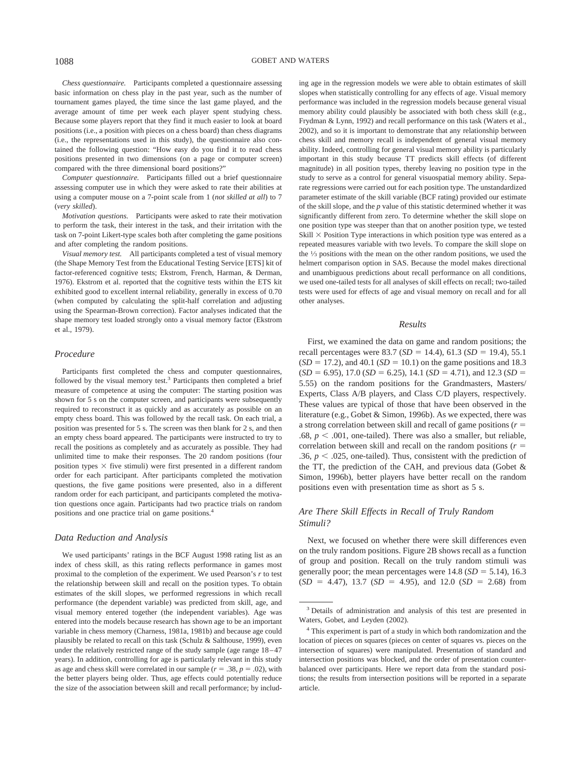*Chess questionnaire.* Participants completed a questionnaire assessing basic information on chess play in the past year, such as the number of tournament games played, the time since the last game played, and the average amount of time per week each player spent studying chess. Because some players report that they find it much easier to look at board positions (i.e., a position with pieces on a chess board) than chess diagrams (i.e., the representations used in this study), the questionnaire also contained the following question: "How easy do you find it to read chess positions presented in two dimensions (on a page or computer screen) compared with the three dimensional board positions?"

*Computer questionnaire.* Participants filled out a brief questionnaire assessing computer use in which they were asked to rate their abilities at using a computer mouse on a 7-point scale from 1 (*not skilled at all*) to 7 (*very skilled*).

*Motivation questions.* Participants were asked to rate their motivation to perform the task, their interest in the task, and their irritation with the task on 7-point Likert-type scales both after completing the game positions and after completing the random positions.

*Visual memory test.* All participants completed a test of visual memory (the Shape Memory Test from the Educational Testing Service [ETS] kit of factor-referenced cognitive tests; Ekstrom, French, Harman, & Derman, 1976). Ekstrom et al. reported that the cognitive tests within the ETS kit exhibited good to excellent internal reliability, generally in excess of 0.70 (when computed by calculating the split-half correlation and adjusting using the Spearman-Brown correction). Factor analyses indicated that the shape memory test loaded strongly onto a visual memory factor (Ekstrom et al., 1979).

#### *Procedure*

Participants first completed the chess and computer questionnaires, followed by the visual memory test.<sup>3</sup> Participants then completed a brief measure of competence at using the computer: The starting position was shown for 5 s on the computer screen, and participants were subsequently required to reconstruct it as quickly and as accurately as possible on an empty chess board. This was followed by the recall task. On each trial, a position was presented for 5 s. The screen was then blank for 2 s, and then an empty chess board appeared. The participants were instructed to try to recall the positions as completely and as accurately as possible. They had unlimited time to make their responses. The 20 random positions (four position types  $\times$  five stimuli) were first presented in a different random order for each participant. After participants completed the motivation questions, the five game positions were presented, also in a different random order for each participant, and participants completed the motivation questions once again. Participants had two practice trials on random positions and one practice trial on game positions.<sup>4</sup>

#### *Data Reduction and Analysis*

We used participants' ratings in the BCF August 1998 rating list as an index of chess skill, as this rating reflects performance in games most proximal to the completion of the experiment. We used Pearson's *r* to test the relationship between skill and recall on the position types. To obtain estimates of the skill slopes, we performed regressions in which recall performance (the dependent variable) was predicted from skill, age, and visual memory entered together (the independent variables). Age was entered into the models because research has shown age to be an important variable in chess memory (Charness, 1981a, 1981b) and because age could plausibly be related to recall on this task (Schulz & Salthouse, 1999), even under the relatively restricted range of the study sample (age range 18–47 years). In addition, controlling for age is particularly relevant in this study as age and chess skill were correlated in our sample  $(r = .38, p = .02)$ , with the better players being older. Thus, age effects could potentially reduce the size of the association between skill and recall performance; by including age in the regression models we were able to obtain estimates of skill slopes when statistically controlling for any effects of age. Visual memory performance was included in the regression models because general visual memory ability could plausibly be associated with both chess skill (e.g., Frydman & Lynn, 1992) and recall performance on this task (Waters et al., 2002), and so it is important to demonstrate that any relationship between chess skill and memory recall is independent of general visual memory ability. Indeed, controlling for general visual memory ability is particularly important in this study because TT predicts skill effects (of different magnitude) in all position types, thereby leaving no position type in the study to serve as a control for general visuospatial memory ability. Separate regressions were carried out for each position type. The unstandardized parameter estimate of the skill variable (BCF rating) provided our estimate of the skill slope, and the *p* value of this statistic determined whether it was significantly different from zero. To determine whether the skill slope on one position type was steeper than that on another position type, we tested Skill  $\times$  Position Type interactions in which position type was entered as a repeated measures variable with two levels. To compare the skill slope on the 1⁄3 positions with the mean on the other random positions, we used the helmert comparison option in SAS. Because the model makes directional and unambiguous predictions about recall performance on all conditions, we used one-tailed tests for all analyses of skill effects on recall; two-tailed tests were used for effects of age and visual memory on recall and for all other analyses.

#### *Results*

First, we examined the data on game and random positions; the recall percentages were 83.7 ( $SD = 14.4$ ), 61.3 ( $SD = 19.4$ ), 55.1  $(SD = 17.2)$ , and 40.1  $(SD = 10.1)$  on the game positions and 18.3  $(SD = 6.95)$ , 17.0  $(SD = 6.25)$ , 14.1  $(SD = 4.71)$ , and 12.3  $(SD = 6.95)$ 5.55) on the random positions for the Grandmasters, Masters/ Experts, Class A/B players, and Class C/D players, respectively. These values are typical of those that have been observed in the literature (e.g., Gobet & Simon, 1996b). As we expected, there was a strong correlation between skill and recall of game positions (*r* .68,  $p < .001$ , one-tailed). There was also a smaller, but reliable, correlation between skill and recall on the random positions  $(r =$ .36,  $p < .025$ , one-tailed). Thus, consistent with the prediction of the TT, the prediction of the CAH, and previous data (Gobet & Simon, 1996b), better players have better recall on the random positions even with presentation time as short as 5 s.

# *Are There Skill Effects in Recall of Truly Random Stimuli?*

Next, we focused on whether there were skill differences even on the truly random positions. Figure 2B shows recall as a function of group and position. Recall on the truly random stimuli was generally poor; the mean percentages were  $14.8$  ( $SD = 5.14$ ), 16.3  $(SD = 4.47)$ , 13.7  $(SD = 4.95)$ , and 12.0  $(SD = 2.68)$  from

<sup>3</sup> Details of administration and analysis of this test are presented in Waters, Gobet, and Leyden (2002).

<sup>4</sup> This experiment is part of a study in which both randomization and the location of pieces on squares (pieces on center of squares vs. pieces on the intersection of squares) were manipulated. Presentation of standard and intersection positions was blocked, and the order of presentation counterbalanced over participants. Here we report data from the standard positions; the results from intersection positions will be reported in a separate article.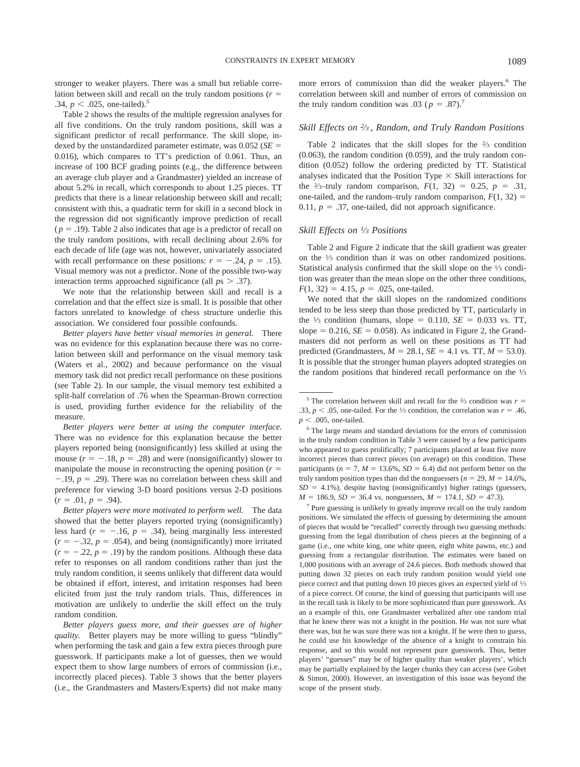stronger to weaker players. There was a small but reliable correlation between skill and recall on the truly random positions (*r* .34,  $p < .025$ , one-tailed).<sup>5</sup>

Table 2 shows the results of the multiple regression analyses for all five conditions. On the truly random positions, skill was a significant predictor of recall performance. The skill slope, indexed by the unstandardized parameter estimate, was 0.052 (*SE* 0.016), which compares to TT's prediction of 0.061. Thus, an increase of 100 BCF grading points (e.g., the difference between an average club player and a Grandmaster) yielded an increase of about 5.2% in recall, which corresponds to about 1.25 pieces. TT predicts that there is a linear relationship between skill and recall; consistent with this, a quadratic term for skill in a second block in the regression did not significantly improve prediction of recall  $(p = .19)$ . Table 2 also indicates that age is a predictor of recall on the truly random positions, with recall declining about 2.6% for each decade of life (age was not, however, univariately associated with recall performance on these positions:  $r = -.24$ ,  $p = .15$ ). Visual memory was not a predictor. None of the possible two-way interaction terms approached significance (all  $p_s > .37$ ).

We note that the relationship between skill and recall is a correlation and that the effect size is small. It is possible that other factors unrelated to knowledge of chess structure underlie this association. We considered four possible confounds.

*Better players have better visual memories in general.* There was no evidence for this explanation because there was no correlation between skill and performance on the visual memory task (Waters et al., 2002) and because performance on the visual memory task did not predict recall performance on these positions (see Table 2). In our sample, the visual memory test exhibited a split-half correlation of .76 when the Spearman-Brown correction is used, providing further evidence for the reliability of the measure.

*Better players were better at using the computer interface.* There was no evidence for this explanation because the better players reported being (nonsignificantly) less skilled at using the mouse  $(r = -.18, p = .28)$  and were (nonsignificantly) slower to manipulate the mouse in reconstructing the opening position  $(r =$  $-19$ ,  $p = 0.29$ . There was no correlation between chess skill and preference for viewing 3-D board positions versus 2-D positions  $(r = .01, p = .94)$ .

*Better players were more motivated to perform well.* The data showed that the better players reported trying (nonsignificantly) less hard  $(r = -.16, p = .34)$ , being marginally less interested  $(r = -.32, p = .054)$ , and being (nonsignificantly) more irritated  $(r = -.22, p = .19)$  by the random positions. Although these data refer to responses on all random conditions rather than just the truly random condition, it seems unlikely that different data would be obtained if effort, interest, and irritation responses had been elicited from just the truly random trials. Thus, differences in motivation are unlikely to underlie the skill effect on the truly random condition.

*Better players guess more, and their guesses are of higher quality.* Better players may be more willing to guess "blindly" when performing the task and gain a few extra pieces through pure guesswork. If participants make a lot of guesses, then we would expect them to show large numbers of errors of commission (i.e., incorrectly placed pieces). Table 3 shows that the better players (i.e., the Grandmasters and Masters/Experts) did not make many more errors of commission than did the weaker players.<sup>6</sup> The correlation between skill and number of errors of commission on the truly random condition was .03 ( $p = .87$ ).<sup>7</sup>

## *Skill Effects on 2⁄3 , Random, and Truly Random Positions*

Table 2 indicates that the skill slopes for the 2⁄3 condition (0.063), the random condition (0.059), and the truly random condition (0.052) follow the ordering predicted by TT. Statistical analyses indicated that the Position Type  $\times$  Skill interactions for the  $\frac{2}{3}$ -truly random comparison,  $F(1, 32) = 0.25$ ,  $p = .31$ , one-tailed, and the random–truly random comparison,  $F(1, 32)$  = 0.11,  $p = .37$ , one-tailed, did not approach significance.

#### *Skill Effects on 1⁄3 Positions*

Table 2 and Figure 2 indicate that the skill gradient was greater on the 1⁄3 condition than it was on other randomized positions. Statistical analysis confirmed that the skill slope on the  $\frac{1}{3}$  condition was greater than the mean slope on the other three conditions,  $F(1, 32) = 4.15$ ,  $p = .025$ , one-tailed.

We noted that the skill slopes on the randomized conditions tended to be less steep than those predicted by TT, particularly in the  $\frac{1}{3}$  condition (humans, slope = 0.110, *SE* = 0.033 vs. TT, slope  $= 0.216$ , *SE*  $= 0.058$ ). As indicated in Figure 2, the Grandmasters did not perform as well on these positions as TT had predicted (Grandmasters,  $M = 28.1$ ,  $SE = 4.1$  vs. TT,  $M = 53.0$ ). It is possible that the stronger human players adopted strategies on the random positions that hindered recall performance on the 1⁄3

<sup>7</sup> Pure guessing is unlikely to greatly improve recall on the truly random positions. We simulated the effects of guessing by determining the amount of pieces that would be "recalled" correctly through two guessing methods: guessing from the legal distribution of chess pieces at the beginning of a game (i.e., one white king, one white queen, eight white pawns, etc.) and guessing from a rectangular distribution. The estimates were based on 1,000 positions with an average of 24.6 pieces. Both methods showed that putting down 32 pieces on each truly random position would yield one piece correct and that putting down 10 pieces gives an expected yield of 1⁄3 of a piece correct. Of course, the kind of guessing that participants will use in the recall task is likely to be more sophisticated than pure guesswork. As an a example of this, one Grandmaster verbalized after one random trial that he knew there was not a knight in the position. He was not sure what there was, but he was sure there was not a knight. If he were then to guess, he could use his knowledge of the absence of a knight to constrain his response, and so this would not represent pure guesswork. Thus, better players' "guesses" may be of higher quality than weaker players', which may be partially explained by the larger chunks they can access (see Gobet & Simon, 2000). However, an investigation of this issue was beyond the scope of the present study.

<sup>&</sup>lt;sup>5</sup> The correlation between skill and recall for the  $\frac{2}{3}$  condition was  $r =$ .33,  $p < .05$ , one-tailed. For the  $\frac{1}{3}$  condition, the correlation was  $r = .46$ ,  $p < .005$ , one-tailed.

<sup>6</sup> The large means and standard deviations for the errors of commission in the truly random condition in Table 3 were caused by a few participants who appeared to guess prolifically; 7 participants placed at least five more incorrect pieces than correct pieces (on average) on this condition. These participants ( $n = 7$ ,  $M = 13.6\%$ ,  $SD = 6.4$ ) did not perform better on the truly random position types than did the nonguessers ( $n = 29$ ,  $M = 14.6\%$ ,  $SD = 4.1\%$ ), despite having (nonsignificantly) higher ratings (guessers,  $M = 186.9$ ,  $SD = 36.4$  vs. nonguessers,  $M = 174.1$ ,  $SD = 47.3$ ).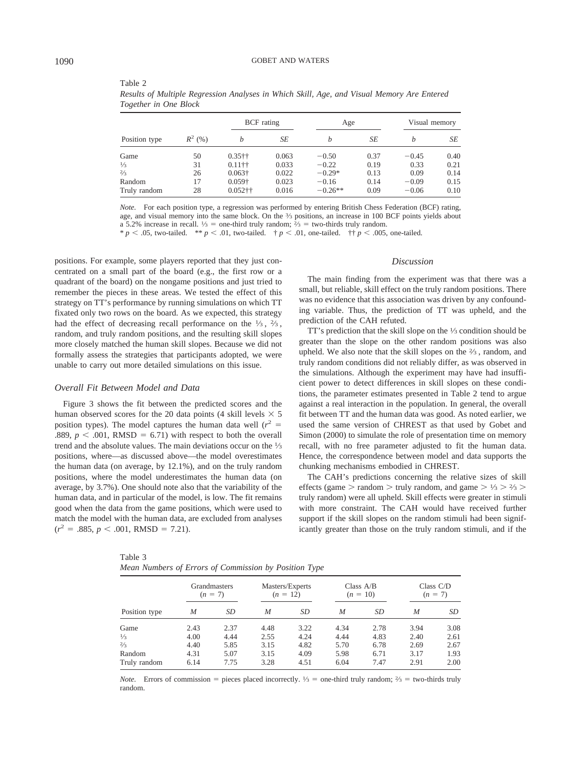|               |           | <b>BCF</b> rating |       | Age       |      | Visual memory |      |  |
|---------------|-----------|-------------------|-------|-----------|------|---------------|------|--|
| Position type | $R^2(96)$ | h                 | SE    | h         | SE   | h             | SЕ   |  |
| Game          | 50        | $0.35 +$          | 0.063 | $-0.50$   | 0.37 | $-0.45$       | 0.40 |  |
| $\frac{1}{3}$ | 31        | $0.11 + 1$        | 0.033 | $-0.22$   | 0.19 | 0.33          | 0.21 |  |
| 2/3           | 26        | $0.063\dagger$    | 0.022 | $-0.29*$  | 0.13 | 0.09          | 0.14 |  |
| Random        | 17        | $0.059\dagger$    | 0.023 | $-0.16$   | 0.14 | $-0.09$       | 0.15 |  |
| Truly random  | 28        | $0.052 +$         | 0.016 | $-0.26**$ | 0.09 | $-0.06$       | 0.10 |  |

Table 2 *Results of Multiple Regression Analyses in Which Skill, Age, and Visual Memory Are Entered Together in One Block*

*Note.* For each position type, a regression was performed by entering British Chess Federation (BCF) rating, age, and visual memory into the same block. On the 3⁄3 positions, an increase in 100 BCF points yields about a 5.2% increase in recall.  $\frac{1}{3}$  = one-third truly random;  $\frac{2}{3}$  = two-thirds truly random.

 $* p < .05$ , two-tailed.  $* p < .01$ , two-tailed.  $\dagger p < .01$ , one-tailed.  $\dagger \dagger p < .005$ , one-tailed.

positions. For example, some players reported that they just concentrated on a small part of the board (e.g., the first row or a quadrant of the board) on the nongame positions and just tried to remember the pieces in these areas. We tested the effect of this strategy on TT's performance by running simulations on which TT fixated only two rows on the board. As we expected, this strategy had the effect of decreasing recall performance on the  $\frac{1}{3}$ ,  $\frac{2}{3}$ , random, and truly random positions, and the resulting skill slopes more closely matched the human skill slopes. Because we did not formally assess the strategies that participants adopted, we were unable to carry out more detailed simulations on this issue.

#### *Overall Fit Between Model and Data*

Figure 3 shows the fit between the predicted scores and the human observed scores for the 20 data points (4 skill levels  $\times$  5 position types). The model captures the human data well  $(r^2 =$ .889,  $p < .001$ , RMSD = 6.71) with respect to both the overall trend and the absolute values. The main deviations occur on the 1⁄3 positions, where—as discussed above—the model overestimates the human data (on average, by 12.1%), and on the truly random positions, where the model underestimates the human data (on average, by 3.7%). One should note also that the variability of the human data, and in particular of the model, is low. The fit remains good when the data from the game positions, which were used to match the model with the human data, are excluded from analyses  $(r^2 = .885, p < .001, RMSD = 7.21).$ 

The main finding from the experiment was that there was a small, but reliable, skill effect on the truly random positions. There was no evidence that this association was driven by any confounding variable. Thus, the prediction of TT was upheld, and the prediction of the CAH refuted.

*Discussion*

TT's prediction that the skill slope on the 1⁄3 condition should be greater than the slope on the other random positions was also upheld. We also note that the skill slopes on the  $\frac{2}{3}$ , random, and truly random conditions did not reliably differ, as was observed in the simulations. Although the experiment may have had insufficient power to detect differences in skill slopes on these conditions, the parameter estimates presented in Table 2 tend to argue against a real interaction in the population. In general, the overall fit between TT and the human data was good. As noted earlier, we used the same version of CHREST as that used by Gobet and Simon (2000) to simulate the role of presentation time on memory recall, with no free parameter adjusted to fit the human data. Hence, the correspondence between model and data supports the chunking mechanisms embodied in CHREST.

The CAH's predictions concerning the relative sizes of skill effects (game  $>$  random  $>$  truly random, and game  $> 1/3 > 2/3$ ) truly random) were all upheld. Skill effects were greater in stimuli with more constraint. The CAH would have received further support if the skill slopes on the random stimuli had been significantly greater than those on the truly random stimuli, and if the

|--|--|

|  |  |  |  |  | Mean Numbers of Errors of Commission by Position Type |  |  |  |
|--|--|--|--|--|-------------------------------------------------------|--|--|--|
|--|--|--|--|--|-------------------------------------------------------|--|--|--|

|               |      | Grandmasters<br>$(n = 7)$ |      | Masters/Experts<br>$(n = 12)$ | Class $A/B$ | $(n = 10)$ | Class $C/D$<br>$(n = 7)$ |      |
|---------------|------|---------------------------|------|-------------------------------|-------------|------------|--------------------------|------|
| Position type | M    | SD                        | M    | SD                            | M           | SD         | M                        | SD.  |
| Game          | 2.43 | 2.37                      | 4.48 | 3.22                          | 4.34        | 2.78       | 3.94                     | 3.08 |
| 1/3           | 4.00 | 4.44                      | 2.55 | 4.24                          | 4.44        | 4.83       | 2.40                     | 2.61 |
| 2/3           | 4.40 | 5.85                      | 3.15 | 4.82                          | 5.70        | 6.78       | 2.69                     | 2.67 |
| Random        | 4.31 | 5.07                      | 3.15 | 4.09                          | 5.98        | 6.71       | 3.17                     | 1.93 |
| Truly random  | 6.14 | 7.75                      | 3.28 | 4.51                          | 6.04        | 7.47       | 2.91                     | 2.00 |

*Note.* Errors of commission = pieces placed incorrectly.  $\frac{1}{3}$  = one-third truly random;  $\frac{2}{3}$  = two-thirds truly random.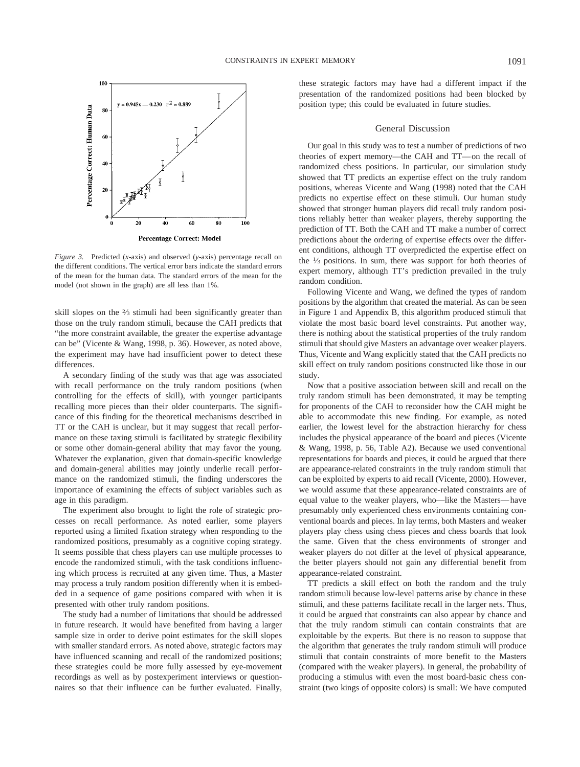

*Figure 3.* Predicted (*x*-axis) and observed (*y*-axis) percentage recall on the different conditions. The vertical error bars indicate the standard errors of the mean for the human data. The standard errors of the mean for the model (not shown in the graph) are all less than 1%.

skill slopes on the 2⁄3 stimuli had been significantly greater than those on the truly random stimuli, because the CAH predicts that "the more constraint available, the greater the expertise advantage can be" (Vicente & Wang, 1998, p. 36). However, as noted above, the experiment may have had insufficient power to detect these differences.

A secondary finding of the study was that age was associated with recall performance on the truly random positions (when controlling for the effects of skill), with younger participants recalling more pieces than their older counterparts. The significance of this finding for the theoretical mechanisms described in TT or the CAH is unclear, but it may suggest that recall performance on these taxing stimuli is facilitated by strategic flexibility or some other domain-general ability that may favor the young. Whatever the explanation, given that domain-specific knowledge and domain-general abilities may jointly underlie recall performance on the randomized stimuli, the finding underscores the importance of examining the effects of subject variables such as age in this paradigm.

The experiment also brought to light the role of strategic processes on recall performance. As noted earlier, some players reported using a limited fixation strategy when responding to the randomized positions, presumably as a cognitive coping strategy. It seems possible that chess players can use multiple processes to encode the randomized stimuli, with the task conditions influencing which process is recruited at any given time. Thus, a Master may process a truly random position differently when it is embedded in a sequence of game positions compared with when it is presented with other truly random positions.

The study had a number of limitations that should be addressed in future research. It would have benefited from having a larger sample size in order to derive point estimates for the skill slopes with smaller standard errors. As noted above, strategic factors may have influenced scanning and recall of the randomized positions; these strategies could be more fully assessed by eye-movement recordings as well as by postexperiment interviews or questionnaires so that their influence can be further evaluated. Finally, these strategic factors may have had a different impact if the presentation of the randomized positions had been blocked by position type; this could be evaluated in future studies.

## General Discussion

Our goal in this study was to test a number of predictions of two theories of expert memory—the CAH and TT—on the recall of randomized chess positions. In particular, our simulation study showed that TT predicts an expertise effect on the truly random positions, whereas Vicente and Wang (1998) noted that the CAH predicts no expertise effect on these stimuli. Our human study showed that stronger human players did recall truly random positions reliably better than weaker players, thereby supporting the prediction of TT. Both the CAH and TT make a number of correct predictions about the ordering of expertise effects over the different conditions, although TT overpredicted the expertise effect on the  $\frac{1}{3}$  positions. In sum, there was support for both theories of expert memory, although TT's prediction prevailed in the truly random condition.

Following Vicente and Wang, we defined the types of random positions by the algorithm that created the material. As can be seen in Figure 1 and Appendix B, this algorithm produced stimuli that violate the most basic board level constraints. Put another way, there is nothing about the statistical properties of the truly random stimuli that should give Masters an advantage over weaker players. Thus, Vicente and Wang explicitly stated that the CAH predicts no skill effect on truly random positions constructed like those in our study.

Now that a positive association between skill and recall on the truly random stimuli has been demonstrated, it may be tempting for proponents of the CAH to reconsider how the CAH might be able to accommodate this new finding. For example, as noted earlier, the lowest level for the abstraction hierarchy for chess includes the physical appearance of the board and pieces (Vicente & Wang, 1998, p. 56, Table A2). Because we used conventional representations for boards and pieces, it could be argued that there are appearance-related constraints in the truly random stimuli that can be exploited by experts to aid recall (Vicente, 2000). However, we would assume that these appearance-related constraints are of equal value to the weaker players, who—like the Masters—have presumably only experienced chess environments containing conventional boards and pieces. In lay terms, both Masters and weaker players play chess using chess pieces and chess boards that look the same. Given that the chess environments of stronger and weaker players do not differ at the level of physical appearance, the better players should not gain any differential benefit from appearance-related constraint.

TT predicts a skill effect on both the random and the truly random stimuli because low-level patterns arise by chance in these stimuli, and these patterns facilitate recall in the larger nets. Thus, it could be argued that constraints can also appear by chance and that the truly random stimuli can contain constraints that are exploitable by the experts. But there is no reason to suppose that the algorithm that generates the truly random stimuli will produce stimuli that contain constraints of more benefit to the Masters (compared with the weaker players). In general, the probability of producing a stimulus with even the most board-basic chess constraint (two kings of opposite colors) is small: We have computed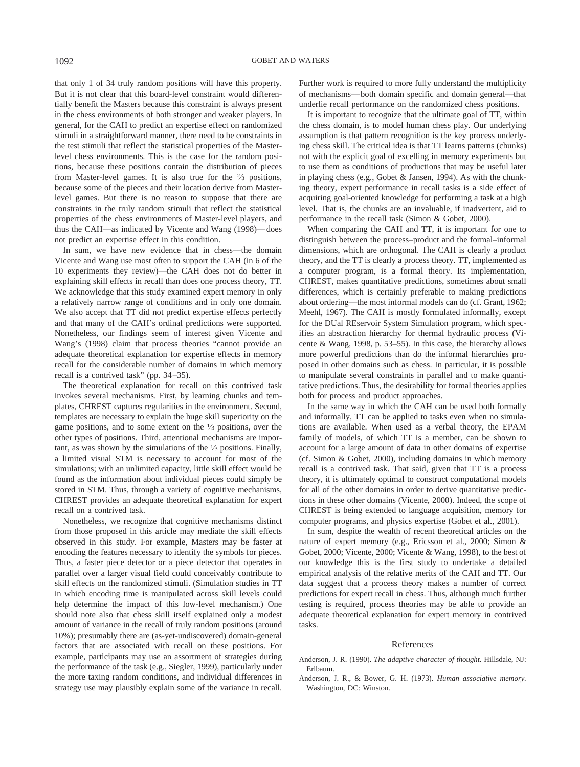that only 1 of 34 truly random positions will have this property. But it is not clear that this board-level constraint would differentially benefit the Masters because this constraint is always present in the chess environments of both stronger and weaker players. In general, for the CAH to predict an expertise effect on randomized stimuli in a straightforward manner, there need to be constraints in the test stimuli that reflect the statistical properties of the Masterlevel chess environments. This is the case for the random positions, because these positions contain the distribution of pieces from Master-level games. It is also true for the 2⁄3 positions, because some of the pieces and their location derive from Masterlevel games. But there is no reason to suppose that there are constraints in the truly random stimuli that reflect the statistical properties of the chess environments of Master-level players, and thus the CAH—as indicated by Vicente and Wang (1998)—does not predict an expertise effect in this condition.

In sum, we have new evidence that in chess—the domain Vicente and Wang use most often to support the CAH (in 6 of the 10 experiments they review)—the CAH does not do better in explaining skill effects in recall than does one process theory, TT. We acknowledge that this study examined expert memory in only a relatively narrow range of conditions and in only one domain. We also accept that TT did not predict expertise effects perfectly and that many of the CAH's ordinal predictions were supported. Nonetheless, our findings seem of interest given Vicente and Wang's (1998) claim that process theories "cannot provide an adequate theoretical explanation for expertise effects in memory recall for the considerable number of domains in which memory recall is a contrived task" (pp. 34–35).

The theoretical explanation for recall on this contrived task invokes several mechanisms. First, by learning chunks and templates, CHREST captures regularities in the environment. Second, templates are necessary to explain the huge skill superiority on the game positions, and to some extent on the 1⁄3 positions, over the other types of positions. Third, attentional mechanisms are important, as was shown by the simulations of the  $\frac{1}{3}$  positions. Finally, a limited visual STM is necessary to account for most of the simulations; with an unlimited capacity, little skill effect would be found as the information about individual pieces could simply be stored in STM. Thus, through a variety of cognitive mechanisms, CHREST provides an adequate theoretical explanation for expert recall on a contrived task.

Nonetheless, we recognize that cognitive mechanisms distinct from those proposed in this article may mediate the skill effects observed in this study. For example, Masters may be faster at encoding the features necessary to identify the symbols for pieces. Thus, a faster piece detector or a piece detector that operates in parallel over a larger visual field could conceivably contribute to skill effects on the randomized stimuli. (Simulation studies in TT in which encoding time is manipulated across skill levels could help determine the impact of this low-level mechanism.) One should note also that chess skill itself explained only a modest amount of variance in the recall of truly random positions (around 10%); presumably there are (as-yet-undiscovered) domain-general factors that are associated with recall on these positions. For example, participants may use an assortment of strategies during the performance of the task (e.g., Siegler, 1999), particularly under the more taxing random conditions, and individual differences in strategy use may plausibly explain some of the variance in recall. Further work is required to more fully understand the multiplicity of mechanisms—both domain specific and domain general—that underlie recall performance on the randomized chess positions.

It is important to recognize that the ultimate goal of TT, within the chess domain, is to model human chess play. Our underlying assumption is that pattern recognition is the key process underlying chess skill. The critical idea is that TT learns patterns (chunks) not with the explicit goal of excelling in memory experiments but to use them as conditions of productions that may be useful later in playing chess (e.g., Gobet & Jansen, 1994). As with the chunking theory, expert performance in recall tasks is a side effect of acquiring goal-oriented knowledge for performing a task at a high level. That is, the chunks are an invaluable, if inadvertent, aid to performance in the recall task (Simon & Gobet, 2000).

When comparing the CAH and TT, it is important for one to distinguish between the process–product and the formal–informal dimensions, which are orthogonal. The CAH is clearly a product theory, and the TT is clearly a process theory. TT, implemented as a computer program, is a formal theory. Its implementation, CHREST, makes quantitative predictions, sometimes about small differences, which is certainly preferable to making predictions about ordering—the most informal models can do (cf. Grant, 1962; Meehl, 1967). The CAH is mostly formulated informally, except for the DUal REservoir System Simulation program, which specifies an abstraction hierarchy for thermal hydraulic process (Vicente & Wang, 1998, p. 53–55). In this case, the hierarchy allows more powerful predictions than do the informal hierarchies proposed in other domains such as chess. In particular, it is possible to manipulate several constraints in parallel and to make quantitative predictions. Thus, the desirability for formal theories applies both for process and product approaches.

In the same way in which the CAH can be used both formally and informally, TT can be applied to tasks even when no simulations are available. When used as a verbal theory, the EPAM family of models, of which TT is a member, can be shown to account for a large amount of data in other domains of expertise (cf. Simon & Gobet, 2000), including domains in which memory recall is a contrived task. That said, given that TT is a process theory, it is ultimately optimal to construct computational models for all of the other domains in order to derive quantitative predictions in these other domains (Vicente, 2000). Indeed, the scope of CHREST is being extended to language acquisition, memory for computer programs, and physics expertise (Gobet et al., 2001).

In sum, despite the wealth of recent theoretical articles on the nature of expert memory (e.g., Ericsson et al., 2000; Simon & Gobet, 2000; Vicente, 2000; Vicente & Wang, 1998), to the best of our knowledge this is the first study to undertake a detailed empirical analysis of the relative merits of the CAH and TT. Our data suggest that a process theory makes a number of correct predictions for expert recall in chess. Thus, although much further testing is required, process theories may be able to provide an adequate theoretical explanation for expert memory in contrived tasks.

#### References

- Anderson, J. R. (1990). *The adaptive character of thought.* Hillsdale, NJ: Erlbaum.
- Anderson, J. R., & Bower, G. H. (1973). *Human associative memory.* Washington, DC: Winston.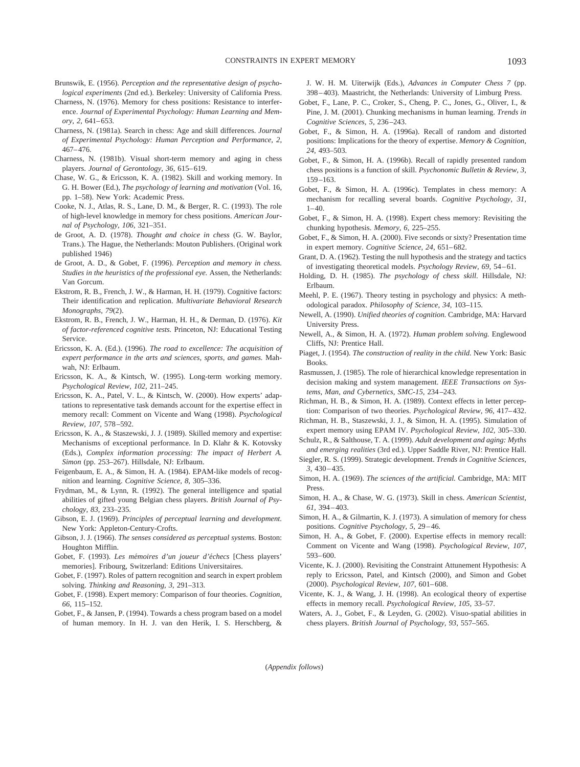- Brunswik, E. (1956). *Perception and the representative design of psychological experiments* (2nd ed.). Berkeley: University of California Press.
- Charness, N. (1976). Memory for chess positions: Resistance to interference. *Journal of Experimental Psychology: Human Learning and Memory, 2,* 641–653.
- Charness, N. (1981a). Search in chess: Age and skill differences. *Journal of Experimental Psychology: Human Perception and Performance, 2,* 467–476.
- Charness, N. (1981b). Visual short-term memory and aging in chess players. *Journal of Gerontology, 36,* 615–619.
- Chase, W. G., & Ericsson, K. A. (1982). Skill and working memory. In G. H. Bower (Ed.), *The psychology of learning and motivation* (Vol. 16, pp. 1–58). New York: Academic Press.
- Cooke, N. J., Atlas, R. S., Lane, D. M., & Berger, R. C. (1993). The role of high-level knowledge in memory for chess positions. *American Journal of Psychology, 106,* 321–351.
- de Groot, A. D. (1978). *Thought and choice in chess* (G. W. Baylor, Trans.). The Hague, the Netherlands: Mouton Publishers. (Original work published 1946)
- de Groot, A. D., & Gobet, F. (1996). *Perception and memory in chess. Studies in the heuristics of the professional eye.* Assen, the Netherlands: Van Gorcum.
- Ekstrom, R. B., French, J. W., & Harman, H. H. (1979). Cognitive factors: Their identification and replication. *Multivariate Behavioral Research Monographs, 79*(2).
- Ekstrom, R. B., French, J. W., Harman, H. H., & Derman, D. (1976). *Kit of factor-referenced cognitive tests.* Princeton, NJ: Educational Testing Service.
- Ericsson, K. A. (Ed.). (1996). *The road to excellence: The acquisition of expert performance in the arts and sciences, sports, and games.* Mahwah, NJ: Erlbaum.
- Ericsson, K. A., & Kintsch, W. (1995). Long-term working memory. *Psychological Review, 102,* 211–245.
- Ericsson, K. A., Patel, V. L., & Kintsch, W. (2000). How experts' adaptations to representative task demands account for the expertise effect in memory recall: Comment on Vicente and Wang (1998). *Psychological Review, 107,* 578–592.
- Ericsson, K. A., & Staszewski, J. J. (1989). Skilled memory and expertise: Mechanisms of exceptional performance. In D. Klahr & K. Kotovsky (Eds.), *Complex information processing: The impact of Herbert A. Simon* (pp. 253–267). Hillsdale, NJ: Erlbaum.
- Feigenbaum, E. A., & Simon, H. A. (1984). EPAM-like models of recognition and learning. *Cognitive Science, 8,* 305–336.
- Frydman, M., & Lynn, R. (1992). The general intelligence and spatial abilities of gifted young Belgian chess players. *British Journal of Psychology, 83,* 233–235.
- Gibson, E. J. (1969). *Principles of perceptual learning and development.* New York: Appleton-Century-Crofts.
- Gibson, J. J. (1966). *The senses considered as perceptual systems.* Boston: Houghton Mifflin.
- Gobet, F. (1993). *Les mémoires d'un joueur d'échecs* [Chess players' memories]. Fribourg, Switzerland: Editions Universitaires.
- Gobet, F. (1997). Roles of pattern recognition and search in expert problem solving. *Thinking and Reasoning, 3,* 291–313.
- Gobet, F. (1998). Expert memory: Comparison of four theories. *Cognition, 66,* 115–152.
- Gobet, F., & Jansen, P. (1994). Towards a chess program based on a model of human memory. In H. J. van den Herik, I. S. Herschberg, &

J. W. H. M. Uiterwijk (Eds.), *Advances in Computer Chess 7* (pp. 398–403). Maastricht, the Netherlands: University of Limburg Press.

- Gobet, F., Lane, P. C., Croker, S., Cheng, P. C., Jones, G., Oliver, I., & Pine, J. M. (2001). Chunking mechanisms in human learning. *Trends in Cognitive Sciences, 5,* 236–243.
- Gobet, F., & Simon, H. A. (1996a). Recall of random and distorted positions: Implications for the theory of expertise. *Memory & Cognition, 24,* 493–503.
- Gobet, F., & Simon, H. A. (1996b). Recall of rapidly presented random chess positions is a function of skill. *Psychonomic Bulletin & Review, 3,* 159–163.
- Gobet, F., & Simon, H. A. (1996c). Templates in chess memory: A mechanism for recalling several boards. *Cognitive Psychology, 31,*  $1 - 40.$
- Gobet, F., & Simon, H. A. (1998). Expert chess memory: Revisiting the chunking hypothesis. *Memory, 6,* 225–255.
- Gobet, F., & Simon, H. A. (2000). Five seconds or sixty? Presentation time in expert memory. *Cognitive Science, 24,* 651–682.
- Grant, D. A. (1962). Testing the null hypothesis and the strategy and tactics of investigating theoretical models. *Psychology Review, 69,* 54–61.
- Holding, D. H. (1985). *The psychology of chess skill.* Hillsdale, NJ: Erlbaum.
- Meehl, P. E. (1967). Theory testing in psychology and physics: A methodological paradox. *Philosophy of Science, 34,* 103–115.
- Newell, A. (1990). *Unified theories of cognition.* Cambridge, MA: Harvard University Press.
- Newell, A., & Simon, H. A. (1972). *Human problem solving.* Englewood Cliffs, NJ: Prentice Hall.
- Piaget, J. (1954). *The construction of reality in the child.* New York: Basic Books.
- Rasmussen, J. (1985). The role of hierarchical knowledge representation in decision making and system management. *IEEE Transactions on Systems, Man, and Cybernetics, SMC-15,* 234–243.
- Richman, H. B., & Simon, H. A. (1989). Context effects in letter perception: Comparison of two theories. *Psychological Review, 96,* 417–432.
- Richman, H. B., Staszewski, J. J., & Simon, H. A. (1995). Simulation of expert memory using EPAM IV. *Psychological Review, 102,* 305–330.
- Schulz, R., & Salthouse, T. A. (1999). *Adult development and aging: Myths and emerging realities* (3rd ed.). Upper Saddle River, NJ: Prentice Hall.
- Siegler, R. S. (1999). Strategic development. *Trends in Cognitive Sciences, 3,* 430–435.
- Simon, H. A. (1969). *The sciences of the artificial.* Cambridge, MA: MIT Press.
- Simon, H. A., & Chase, W. G. (1973). Skill in chess. *American Scientist, 61,* 394–403.
- Simon, H. A., & Gilmartin, K. J. (1973). A simulation of memory for chess positions. *Cognitive Psychology, 5,* 29–46.
- Simon, H. A., & Gobet, F. (2000). Expertise effects in memory recall: Comment on Vicente and Wang (1998). *Psychological Review, 107,* 593–600.
- Vicente, K. J. (2000). Revisiting the Constraint Attunement Hypothesis: A reply to Ericsson, Patel, and Kintsch (2000), and Simon and Gobet (2000). *Psychological Review, 107,* 601–608.
- Vicente, K. J., & Wang, J. H. (1998). An ecological theory of expertise effects in memory recall. *Psychological Review, 105,* 33–57.
- Waters, A. J., Gobet, F., & Leyden, G. (2002). Visuo-spatial abilities in chess players. *British Journal of Psychology, 93,* 557–565.

(*Appendix follows*)